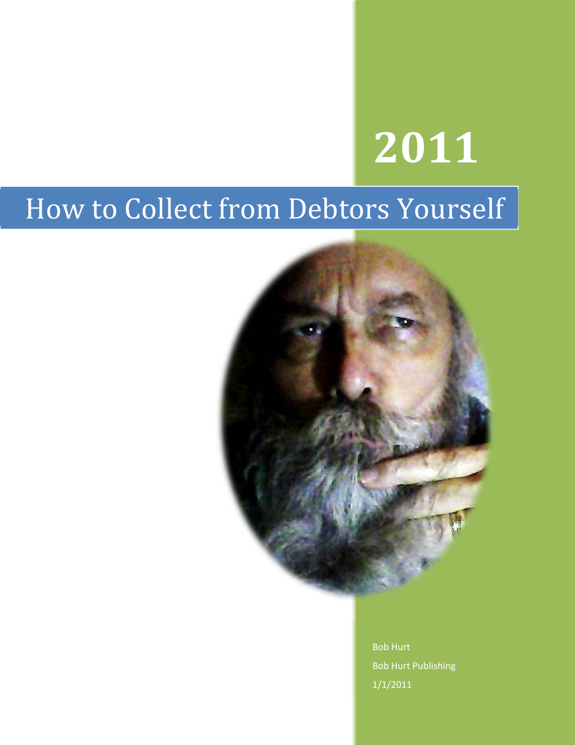# **2011**

# How to Collect from Debtors Yourself



Bob Hurt Bob Hurt Publishing 1/1/2011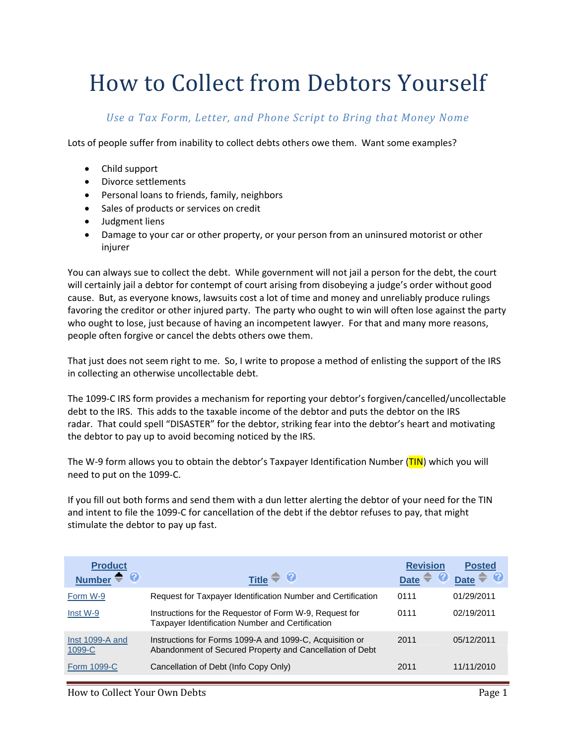# How to Collect from Debtors Yourself

*Use a Tax Form, Letter, and Phone Script to Bring that Money Nome*

Lots of people suffer from inability to collect debts others owe them. Want some examples?

- Child support
- Divorce settlements
- Personal loans to friends, family, neighbors
- Sales of products or services on credit
- Judgment liens
- Damage to your car or other property, or your person from an uninsured motorist or other injurer

You can always sue to collect the debt. While government will not jail a person for the debt, the court will certainly jail a debtor for contempt of court arising from disobeying a judge's order without good cause. But, as everyone knows, lawsuits cost a lot of time and money and unreliably produce rulings favoring the creditor or other injured party. The party who ought to win will often lose against the party who ought to lose, just because of having an incompetent lawyer. For that and many more reasons, people often forgive or cancel the debts others owe them.

That just does not seem right to me. So, I write to propose a method of enlisting the support of the IRS in collecting an otherwise uncollectable debt.

The 1099‐C IRS form provides a mechanism for reporting your debtor's forgiven/cancelled/uncollectable debt to the IRS. This adds to the taxable income of the debtor and puts the debtor on the IRS radar. That could spell "DISASTER" for the debtor, striking fear into the debtor's heart and motivating the debtor to pay up to avoid becoming noticed by the IRS.

The W-9 form allows you to obtain the debtor's Taxpayer Identification Number (TIN) which you will need to put on the 1099‐C.

If you fill out both forms and send them with a dun letter alerting the debtor of your need for the TIN and intent to file the 1099-C for cancellation of the debt if the debtor refuses to pay, that might stimulate the debtor to pay up fast.

| <b>Product</b><br>Ø<br><b>Number</b> | Title $\widehat{\bullet}$ <b>0</b>                                                                                   | <b>Revision</b><br><b>Date</b> | <b>Posted</b><br><b>Date</b> |
|--------------------------------------|----------------------------------------------------------------------------------------------------------------------|--------------------------------|------------------------------|
| Form W-9                             | Request for Taxpayer Identification Number and Certification                                                         | 0111                           | 01/29/2011                   |
| Inst W-9                             | Instructions for the Requestor of Form W-9, Request for<br>Taxpayer Identification Number and Certification          | 0111                           | 02/19/2011                   |
| Inst 1099-A and<br>1099-C            | Instructions for Forms 1099-A and 1099-C, Acquisition or<br>Abandonment of Secured Property and Cancellation of Debt | 2011                           | 05/12/2011                   |
| Form 1099-C                          | Cancellation of Debt (Info Copy Only)                                                                                | 2011                           | 11/11/2010                   |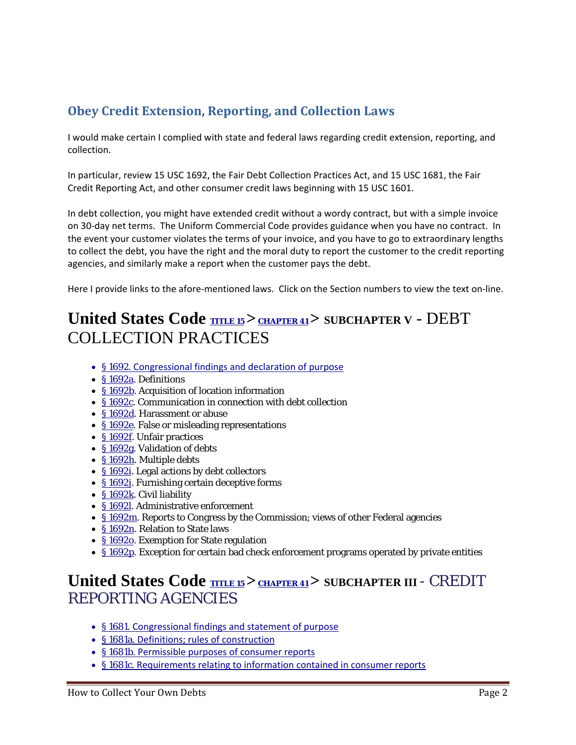### **Obey Credit Extension, Reporting, and Collection Laws**

I would make certain I complied with state and federal laws regarding credit extension, reporting, and collection.

In particular, review 15 USC 1692, the Fair Debt Collection Practices Act, and 15 USC 1681, the Fair Credit Reporting Act, and other consumer credit laws beginning with 15 USC 1601.

In debt collection, you might have extended credit without a wordy contract, but with a simple invoice on 30-day net terms. The Uniform Commercial Code provides guidance when you have no contract. In the event your customer violates the terms of your invoice, and you have to go to extraordinary lengths to collect the debt, you have the right and the moral duty to report the customer to the credit reporting agencies, and similarly make a report when the customer pays the debt.

Here I provide links to the afore-mentioned laws. Click on the Section numbers to view the text on-line.

# United States Code **TITLE 15** > CHAPTER 41 > SUBCHAPTER V - DEBT COLLECTION PRACTICES

- § 1692. Congressional findings and declaration of purpose
- § 1692a. Definitions
- §1692b. Acquisition of location information
- § 1692c. Communication in connection with debt collection
- § 1692d. Harassment or abuse
- § 1692e. False or misleading representations
- § 1692f. Unfair practices
- § 1692g. Validation of debts
- § 1692h. Multiple debts
- § 1692i. Legal actions by debt collectors
- § 1692j. Furnishing certain deceptive forms
- § 1692k. Civil liability
- § 1692l. Administrative enforcement
- § 1692m. Reports to Congress by the Commission; views of other Federal agencies
- § 1692n. Relation to State laws
- § 1692o. Exemption for State regulation
- § 1692p. Exception for certain bad check enforcement programs operated by private entities

## United States Code **<b>TITLE 15** > CHAPTER 41</u> > SUBCHAPTER III - CREDIT REPORTING AGENCIES

- § 1681. Congressional findings and statement of purpose
- § 1681a. Definitions; rules of construction
- § 1681b. Permissible purposes of consumer reports
- § 1681c. Requirements relating to information contained in consumer reports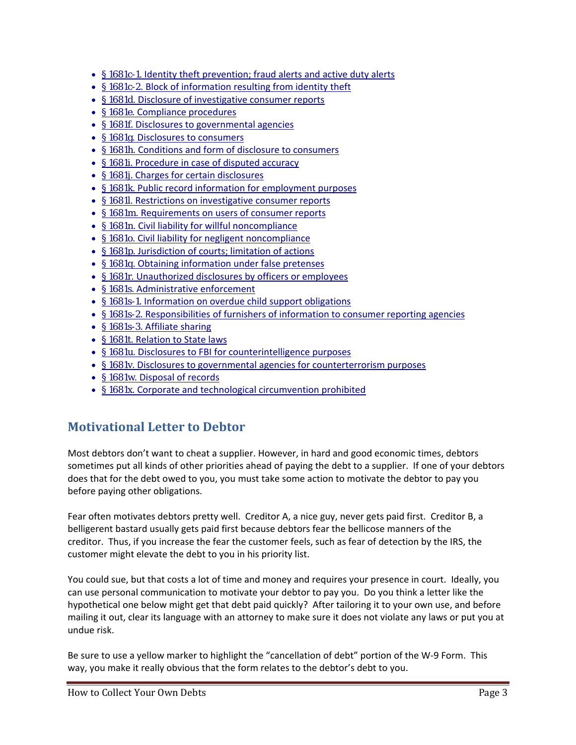- § 1681c-1. Identity theft prevention; fraud alerts and active duty alerts
- § 1681c-2. Block of information resulting from identity theft
- § 1681d. Disclosure of investigative consumer reports
- § 1681e. Compliance procedures
- § 1681f. Disclosures to governmental agencies
- § 1681g. Disclosures to consumers
- § 1681h. Conditions and form of disclosure to consumers
- § 1681i. Procedure in case of disputed accuracy
- § 1681j. Charges for certain disclosures
- § 1681k. Public record information for employment purposes
- § 1681l. Restrictions on investigative consumer reports
- § 1681m. Requirements on users of consumer reports
- § 1681n. Civil liability for willful noncompliance
- § 1681o. Civil liability for negligent noncompliance
- § 1681p. Jurisdiction of courts; limitation of actions
- § 1681q. Obtaining information under false pretenses
- § 1681r. Unauthorized disclosures by officers or employees
- § 1681s. Administrative enforcement
- § 1681s-1. Information on overdue child support obligations
- § 1681s-2. Responsibilities of furnishers of information to consumer reporting agencies
- § 1681s-3. Affiliate sharing
- § 1681t. Relation to State laws
- § 1681u. Disclosures to FBI for counterintelligence purposes
- § 1681v. Disclosures to governmental agencies for counterterrorism purposes
- § 1681w. Disposal of records
- § 1681x. Corporate and technological circumvention prohibited

#### **Motivational Letter to Debtor**

Most debtors don't want to cheat a supplier. However, in hard and good economic times, debtors sometimes put all kinds of other priorities ahead of paying the debt to a supplier. If one of your debtors does that for the debt owed to you, you must take some action to motivate the debtor to pay you before paying other obligations.

Fear often motivates debtors pretty well. Creditor A, a nice guy, never gets paid first. Creditor B, a belligerent bastard usually gets paid first because debtors fear the bellicose manners of the creditor. Thus, if you increase the fear the customer feels, such as fear of detection by the IRS, the customer might elevate the debt to you in his priority list.

You could sue, but that costs a lot of time and money and requires your presence in court. Ideally, you can use personal communication to motivate your debtor to pay you. Do you think a letter like the hypothetical one below might get that debt paid quickly? After tailoring it to your own use, and before mailing it out, clear its language with an attorney to make sure it does not violate any laws or put you at undue risk.

Be sure to use a yellow marker to highlight the "cancellation of debt" portion of the W‐9 Form. This way, you make it really obvious that the form relates to the debtor's debt to you.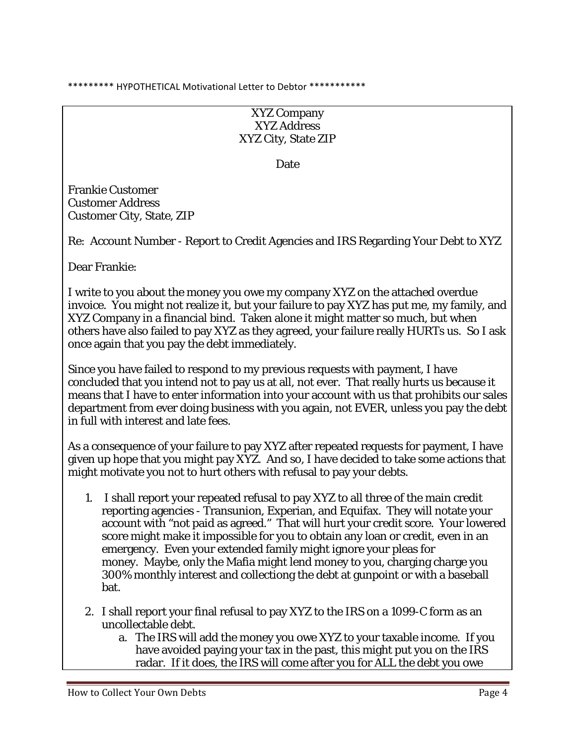\*\*\*\*\*\*\*\*\* HYPOTHETICAL Motivational Letter to Debtor \*\*\*\*\*\*\*\*\*\*\*

XYZ Company XYZ Address XYZ City, State ZIP

Date

Frankie Customer Customer Address Customer City, State, ZIP

Re: Account Number - Report to Credit Agencies and IRS Regarding Your Debt to XYZ

Dear Frankie:

I write to you about the money you owe my company XYZ on the attached overdue invoice. You might not realize it, but your failure to pay XYZ has put me, my family, and XYZ Company in a financial bind. Taken alone it might matter so much, but when others have also failed to pay XYZ as they agreed, your failure really HURTs us. So I ask once again that you pay the debt immediately.

Since you have failed to respond to my previous requests with payment, I have concluded that you intend not to pay us at all, not ever. That really hurts us because it means that I have to enter information into your account with us that prohibits our sales department from ever doing business with you again, not EVER, unless you pay the debt in full with interest and late fees.

As a consequence of your failure to pay XYZ after repeated requests for payment, I have given up hope that you might pay XYZ. And so, I have decided to take some actions that might motivate you not to hurt others with refusal to pay your debts.

- 1. I shall report your repeated refusal to pay XYZ to all three of the main credit reporting agencies - Transunion, Experian, and Equifax. They will notate your account with "not paid as agreed." That will hurt your credit score. Your lowered score might make it impossible for you to obtain any loan or credit, even in an emergency. Even your extended family might ignore your pleas for money. Maybe, only the Mafia might lend money to you, charging charge you 300% monthly interest and collectiong the debt at gunpoint or with a baseball bat.
- 2. I shall report your final refusal to pay XYZ to the IRS on a 1099-C form as an uncollectable debt.
	- a. The IRS will add the money you owe XYZ to your taxable income. If you have avoided paying your tax in the past, this might put you on the IRS radar. If it does, the IRS will come after you for ALL the debt you owe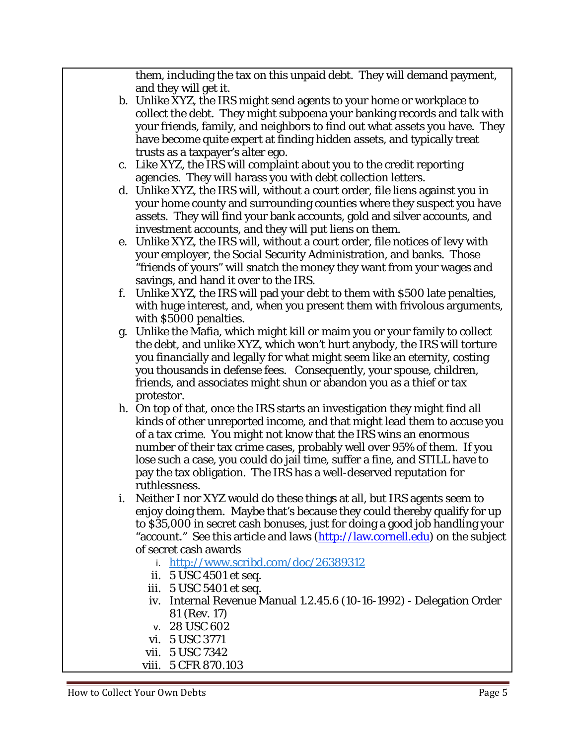them, including the tax on this unpaid debt. They will demand payment, and they will get it.

- b. Unlike XYZ, the IRS might send agents to your home or workplace to collect the debt. They might subpoena your banking records and talk with your friends, family, and neighbors to find out what assets you have. They have become quite expert at finding hidden assets, and typically treat trusts as a taxpayer's alter ego.
- c. Like XYZ, the IRS will complaint about you to the credit reporting agencies. They will harass you with debt collection letters.
- d. Unlike XYZ, the IRS will, without a court order, file liens against you in your home county and surrounding counties where they suspect you have assets. They will find your bank accounts, gold and silver accounts, and investment accounts, and they will put liens on them.
- e. Unlike XYZ, the IRS will, without a court order, file notices of levy with your employer, the Social Security Administration, and banks. Those "friends of yours" will snatch the money they want from your wages and savings, and hand it over to the IRS.
- f. Unlike XYZ, the IRS will pad your debt to them with \$500 late penalties, with huge interest, and, when you present them with frivolous arguments, with \$5000 penalties.
- g. Unlike the Mafia, which might kill or maim you or your family to collect the debt, and unlike XYZ, which won't hurt anybody, the IRS will torture you financially and legally for what might seem like an eternity, costing you thousands in defense fees. Consequently, your spouse, children, friends, and associates might shun or abandon you as a thief or tax protestor.
- h. On top of that, once the IRS starts an investigation they might find all kinds of other unreported income, and that might lead them to accuse you of a tax crime. You might not know that the IRS wins an enormous number of their tax crime cases, probably well over 95% of them. If you lose such a case, you could do jail time, suffer a fine, and STILL have to pay the tax obligation. The IRS has a well-deserved reputation for ruthlessness.
- i. Neither I nor XYZ would do these things at all, but IRS agents seem to enjoy doing them. Maybe that's because they could thereby qualify for up to \$35,000 in secret cash bonuses, just for doing a good job handling your "account." See this article and laws (http://law.cornell.edu) on the subject of secret cash awards
	- i. http://www.scribd.com/doc/26389312
	- ii. 5 USC 4501 et seq.
	- iii. 5 USC 5401 et seq.
	- iv. Internal Revenue Manual 1.2.45.6 (10-16-1992) Delegation Order 81 (Rev. 17)
	- v. 28 USC 602
	- vi. 5 USC 3771
	- vii. 5 USC 7342
	- viii. 5 CFR 870.103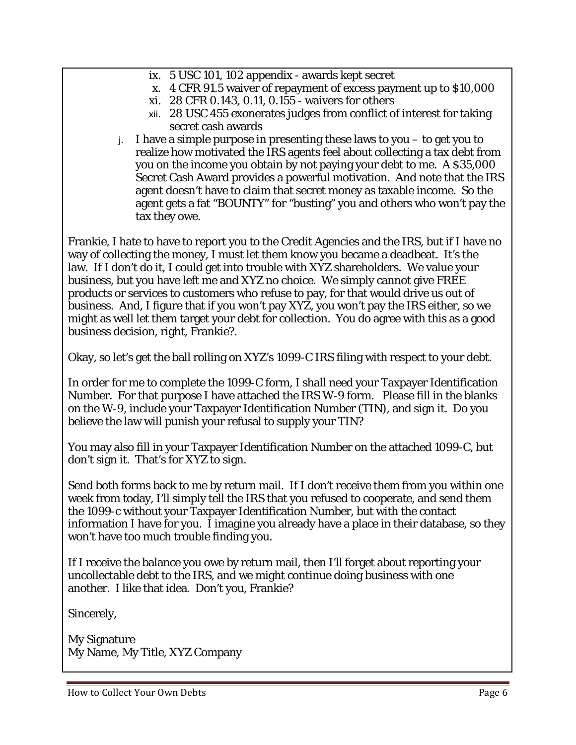- ix. 5 USC 101, 102 appendix awards kept secret
- x. 4 CFR 91.5 waiver of repayment of excess payment up to \$10,000
- xi. 28 CFR 0.143, 0.11, 0.155 waivers for others
- xii. 28 USC 455 exonerates judges from conflict of interest for taking secret cash awards
- j. I have a simple purpose in presenting these laws to you to get you to realize how motivated the IRS agents feel about collecting a tax debt from you on the income you obtain by not paying your debt to me. A \$35,000 Secret Cash Award provides a powerful motivation. And note that the IRS agent doesn't have to claim that secret money as taxable income. So the agent gets a fat "BOUNTY" for "busting" you and others who won't pay the tax they owe.

Frankie, I hate to have to report you to the Credit Agencies and the IRS, but if I have no way of collecting the money, I must let them know you became a deadbeat. It's the law. If I don't do it, I could get into trouble with XYZ shareholders. We value your business, but you have left me and XYZ no choice. We simply cannot give FREE products or services to customers who refuse to pay, for that would drive us out of business. And, I figure that if you won't pay XYZ, you won't pay the IRS either, so we might as well let *them* target your debt for collection. You do agree with this as a good business decision, right, Frankie?.

Okay, so let's get the ball rolling on XYZ's 1099-C IRS filing with respect to your debt.

In order for me to complete the 1099-C form, I shall need your Taxpayer Identification Number. For that purpose I have attached the IRS W-9 form. Please fill in the blanks on the W-9, include your Taxpayer Identification Number (TIN), and sign it. Do you believe the law will punish your refusal to supply your TIN?

You may also fill in your Taxpayer Identification Number on the attached 1099-C, but don't sign it. That's for XYZ to sign.

Send both forms back to me by return mail. If I don't receive them from you within one week from today, I'll simply tell the IRS that you refused to cooperate, and send them the 1099-c without your Taxpayer Identification Number, but with the contact information I have for you. I imagine you already have a place in their database, so they won't have too much trouble finding you.

If I receive the balance you owe by return mail, then I'll forget about reporting your uncollectable debt to the IRS, and we might continue doing business with one another. I like that idea. Don't you, Frankie?

Sincerely,

My Signature My Name, My Title, XYZ Company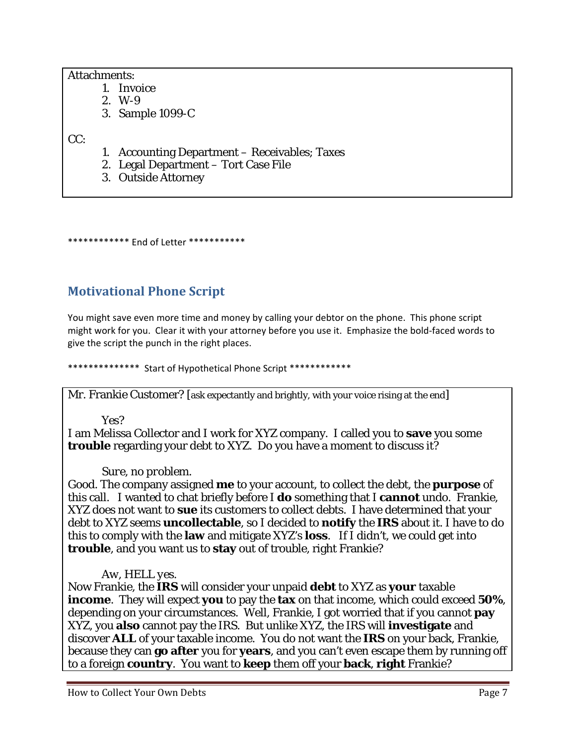#### Attachments:

- 1. Invoice
- 2. W-9
- 3. Sample 1099-C

CC:

- 1. Accounting Department Receivables; Taxes
- 2. Legal Department Tort Case File
- 3. Outside Attorney

\*\*\*\*\*\*\*\*\*\*\*\* End of Letter \*\*\*\*\*\*\*\*\*\*\*

### **Motivational Phone Script**

You might save even more time and money by calling your debtor on the phone. This phone script might work for you. Clear it with your attorney before you use it. Emphasize the bold‐faced words to give the script the punch in the right places.

\*\*\*\*\*\*\*\*\*\*\*\*\*\* Start of Hypothetical Phone Script \*\*\*\*\*\*\*\*\*\*\*\*

Mr. Frankie Customer? [ask expectantly and brightly, with your voice rising at the end]

#### *Yes?*

I am Melissa Collector and I work for XYZ company. I called you to **save** you some **trouble** regarding your debt to XYZ. Do you have a moment to discuss it?

#### *Sure, no problem.*

Good. The company assigned **me** to your account, to collect the debt, the **purpose** of this call. I wanted to chat briefly before I **do** something that I **cannot** undo. Frankie, XYZ does not want to **sue** its customers to collect debts. I have determined that your debt to XYZ seems **uncollectable**, so I decided to **notify** the **IRS** about it. I have to do this to comply with the **law** and mitigate XYZ's **loss**. If I didn't, we could get into **trouble**, and you want us to **stay** out of trouble, right Frankie?

#### *Aw, HELL yes.*

Now Frankie, the **IRS** will consider your unpaid **debt** to XYZ as **your** taxable **income**. They will expect **you** to pay the **tax** on that income, which could exceed **50%**, depending on your circumstances. Well, Frankie, I got worried that if you cannot **pay** XYZ, you **also** cannot pay the IRS. But unlike XYZ, the IRS will **investigate** and discover **ALL** of your taxable income. You do not want the **IRS** on your back, Frankie, because they can **go after** you for **years**, and you can't even escape them by running off to a foreign **country**. You want to **keep** them off your **back**, **right** Frankie?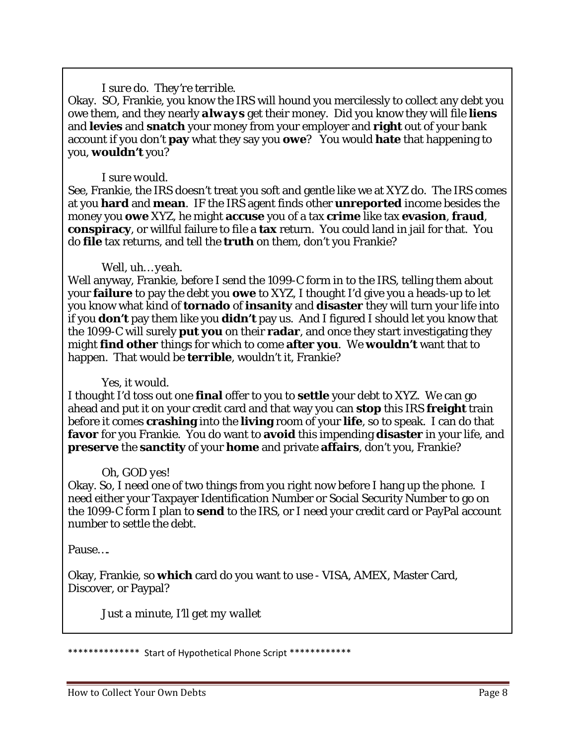#### *I sure do. They're terrible.*

Okay. SO, Frankie, you know the IRS will hound you mercilessly to collect any debt you owe them, and they nearly *always* get their money. Did you know they will file **liens** and **levies** and **snatch** your money from your employer and **right** out of your bank account if you don't **pay** what they say you **owe**? You would **hate** that happening to you, **wouldn't** you?

#### *I sure would.*

See, Frankie, the IRS doesn't treat you soft and gentle like we at XYZ do. The IRS comes at you **hard** and **mean**. IF the IRS agent finds other **unreported** income besides the money you **owe** XYZ, he might **accuse** you of a tax **crime** like tax **evasion**, **fraud**, **conspiracy**, or willful failure to file a **tax** return. You could land in jail for that. You do **file** tax returns, and tell the **truth** on them, don't you Frankie?

#### *Well, uh… yeah.*

Well anyway, Frankie, before I send the 1099-C form in to the IRS, telling them about your **failure** to pay the debt you **owe** to XYZ, I thought I'd give you a heads-up to let you know what kind of **tornado** of **insanity** and **disaster** they will turn your life into if you **don't** pay them like you **didn't** pay us. And I figured I should let you know that the 1099-C will surely **put you** on their **radar**, and once they start investigating they might **find other** things for which to come **after you**. We **wouldn't** want that to happen. That would be **terrible**, wouldn't it, Frankie?

#### *Yes, it would.*

I thought I'd toss out one **final** offer to you to **settle** your debt to XYZ. We can go ahead and put it on your credit card and that way you can **stop** this IRS **freight** train before it comes **crashing** into the **living** room of your **life**, so to speak. I can do that **favor** for you Frankie. You do want to **avoid** this impending **disaster** in your life, and **preserve** the **sanctity** of your **home** and private **affairs**, don't you, Frankie?

#### *Oh, GOD yes!*

Okay. So, I need one of two things from you right now before I hang up the phone. I need either your Taxpayer Identification Number or Social Security Number to go on the 1099-C form I plan to **send** to the IRS, or I need your credit card or PayPal account number to settle the debt.

Pause….

Okay, Frankie, so **which** card do you want to use - VISA, AMEX, Master Card, Discover, or Paypal?

*Just a minute, I'll get my wallet*

Start of Hypothetical Phone Script \*\*\*\*\*\*\*\*\*\*\*\*\*